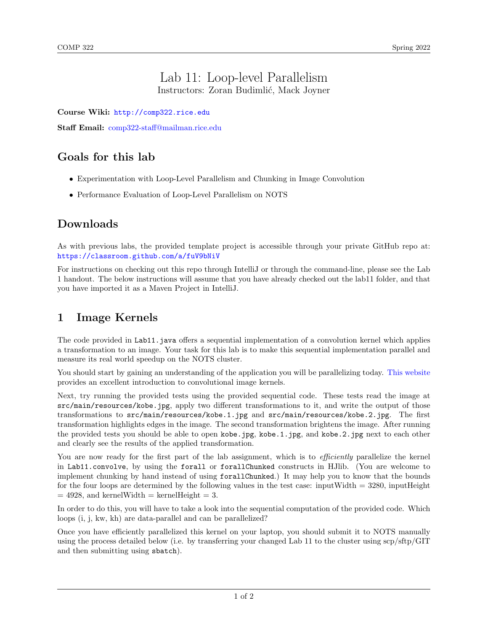#### Lab 11: Loop-level Parallelism Instructors: Zoran Budimlić, Mack Joyner

Course Wiki: <http://comp322.rice.edu>

Staff Email: [comp322-staff@mailman.rice.edu](mailto:comp322-staff@mailman.rice.edu)

## Goals for this lab

- Experimentation with Loop-Level Parallelism and Chunking in Image Convolution
- Performance Evaluation of Loop-Level Parallelism on NOTS

#### Downloads

As with previous labs, the provided template project is accessible through your private GitHub repo at: <https://classroom.github.com/a/fuV9bNiV>

For instructions on checking out this repo through IntelliJ or through the command-line, please see the Lab 1 handout. The below instructions will assume that you have already checked out the lab11 folder, and that you have imported it as a Maven Project in IntelliJ.

### 1 Image Kernels

The code provided in Lab11.java offers a sequential implementation of a convolution kernel which applies a transformation to an image. Your task for this lab is to make this sequential implementation parallel and measure its real world speedup on the NOTS cluster.

You should start by gaining an understanding of the application you will be parallelizing today. [This website](http://setosa.io/ev/image-kernels/) provides an excellent introduction to convolutional image kernels.

Next, try running the provided tests using the provided sequential code. These tests read the image at src/main/resources/kobe.jpg, apply two different transformations to it, and write the output of those transformations to src/main/resources/kobe.1.jpg and src/main/resources/kobe.2.jpg. The first transformation highlights edges in the image. The second transformation brightens the image. After running the provided tests you should be able to open kobe.jpg, kobe.1.jpg, and kobe.2.jpg next to each other and clearly see the results of the applied transformation.

You are now ready for the first part of the lab assignment, which is to *efficiently* parallelize the kernel in Lab11.convolve, by using the forall or forallChunked constructs in HJlib. (You are welcome to implement chunking by hand instead of using forallChunked.) It may help you to know that the bounds for the four loops are determined by the following values in the test case: inputWidth  $=$  3280, inputHeight  $= 4928$ , and kernelWidth  $=$  kernelHeight  $= 3$ .

In order to do this, you will have to take a look into the sequential computation of the provided code. Which loops (i, j, kw, kh) are data-parallel and can be parallelized?

Once you have efficiently parallelized this kernel on your laptop, you should submit it to NOTS manually using the process detailed below (i.e. by transferring your changed Lab 11 to the cluster using scp/sftp/GIT and then submitting using sbatch).